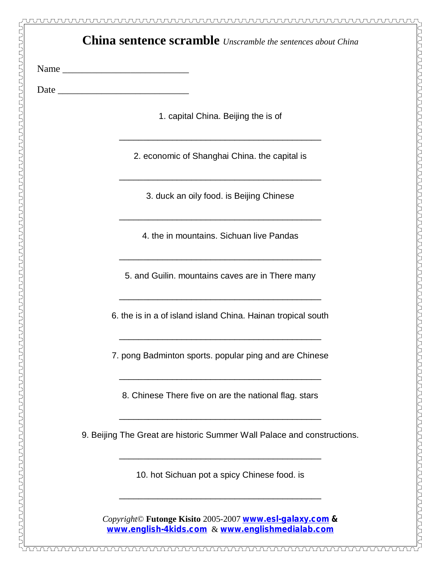| <b>China sentence scramble</b> <i>Unscramble the sentences about China</i> |                                                                                                                                                                                  |
|----------------------------------------------------------------------------|----------------------------------------------------------------------------------------------------------------------------------------------------------------------------------|
|                                                                            |                                                                                                                                                                                  |
|                                                                            |                                                                                                                                                                                  |
|                                                                            | 1. capital China. Beijing the is of                                                                                                                                              |
|                                                                            | <u> 2000 - Jan James James Jan James James James James James James James James James James James James James Jam</u><br>2. economic of Shanghai China. the capital is            |
|                                                                            | 3. duck an oily food. is Beijing Chinese                                                                                                                                         |
|                                                                            | <u> 1989 - Andrea Station Andrea Station (1989), actor a component de la componentation de la componentation de l</u><br>4. the in mountains. Sichuan live Pandas                |
|                                                                            | 5. and Guilin. mountains caves are in There many                                                                                                                                 |
|                                                                            | 6. the is in a of island island China. Hainan tropical south                                                                                                                     |
|                                                                            | 7. pong Badminton sports. popular ping and are Chinese                                                                                                                           |
|                                                                            | 8. Chinese There five on are the national flag. stars                                                                                                                            |
|                                                                            | 9. Beijing The Great are historic Summer Wall Palace and constructions.                                                                                                          |
|                                                                            | 10. hot Sichuan pot a spicy Chinese food. is                                                                                                                                     |
|                                                                            | <u> 1980 - Jan James James Jan James James James James James James James James James James James James James Jam</u><br>Copyright© Futonge Kisito 2005-2007 WWW.esl-qalaxy.com & |